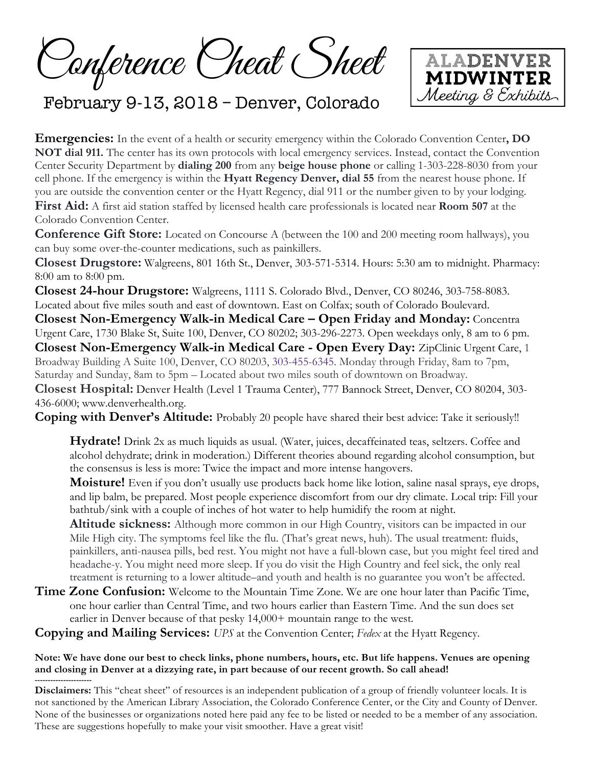Conference Cheat Sheet



# February 9-13, 2018 – Denver, Colorado

**Emergencies:** In the event of a health or security emergency within the Colorado Convention Center**, DO NOT dial 911.** The center has its own protocols with local emergency services. Instead, contact the Convention Center Security Department by **dialing 200** from any **beige house phone** or calling 1-303-228-8030 from your cell phone. If the emergency is within the **Hyatt Regency Denver, dial 55** from the nearest house phone. If you are outside the convention center or the Hyatt Regency, dial 911 or the number given to by your lodging. **First Aid:** A first aid station staffed by licensed health care professionals is located near **Room 507** at the Colorado Convention Center.

**Conference Gift Store:** Located on Concourse A (between the 100 and 200 meeting room hallways), you can buy some over-the-counter medications, such as painkillers.

**Closest Drugstore:** Walgreens, 801 16th St., Denver, 303-571-5314. Hours: 5:30 am to midnight. Pharmacy: 8:00 am to 8:00 pm.

**Closest 24-hour Drugstore:** Walgreens, 1111 S. Colorado Blvd., Denver, CO 80246, 303-758-8083. Located about five miles south and east of downtown. East on Colfax; south of Colorado Boulevard.

**Closest Non-Emergency Walk-in Medical Care – Open Friday and Monday:** Concentra Urgent Care, 1730 Blake St, Suite 100, Denver, CO 80202; 303-296-2273. Open weekdays only, 8 am to 6 pm. **Closest Non-Emergency Walk-in Medical Care - Open Every Day:** ZipClinic Urgent Care, 1 Broadway Building A Suite 100, Denver, CO 80203, 303-455-6345. Monday through Friday, 8am to 7pm, Saturday and Sunday, 8am to 5pm – Located about two miles south of downtown on Broadway.

**Closest Hospital:** Denver Health (Level 1 Trauma Center), 777 Bannock Street, Denver, CO 80204, 303- 436-6000; www.denverhealth.org.

**Coping with Denver's Altitude:** Probably 20 people have shared their best advice: Take it seriously!!

**Hydrate!** Drink 2x as much liquids as usual. (Water, juices, decaffeinated teas, seltzers. Coffee and alcohol dehydrate; drink in moderation.) Different theories abound regarding alcohol consumption, but the consensus is less is more: Twice the impact and more intense hangovers.

**Moisture!** Even if you don't usually use products back home like lotion, saline nasal sprays, eye drops, and lip balm, be prepared. Most people experience discomfort from our dry climate. Local trip: Fill your bathtub/sink with a couple of inches of hot water to help humidify the room at night.

**Altitude sickness:** Although more common in our High Country, visitors can be impacted in our Mile High city. The symptoms feel like the flu. (That's great news, huh). The usual treatment: fluids, painkillers, anti-nausea pills, bed rest. You might not have a full-blown case, but you might feel tired and headache-y. You might need more sleep. If you do visit the High Country and feel sick, the only real treatment is returning to a lower altitude–and youth and health is no guarantee you won't be affected.

**Time Zone Confusion:** Welcome to the Mountain Time Zone. We are one hour later than Pacific Time, one hour earlier than Central Time, and two hours earlier than Eastern Time. And the sun does set earlier in Denver because of that pesky 14,000+ mountain range to the west.

**Copying and Mailing Services:** *UPS* at the Convention Center; *Fedex* at the Hyatt Regency.

#### **Note: We have done our best to check links, phone numbers, hours, etc. But life happens. Venues are opening and closing in Denver at a dizzying rate, in part because of our recent growth. So call ahead!**

**---------------------- Disclaimers:** This "cheat sheet" of resources is an independent publication of a group of friendly volunteer locals. It is not sanctioned by the American Library Association, the Colorado Conference Center, or the City and County of Denver. None of the businesses or organizations noted here paid any fee to be listed or needed to be a member of any association. These are suggestions hopefully to make your visit smoother. Have a great visit!